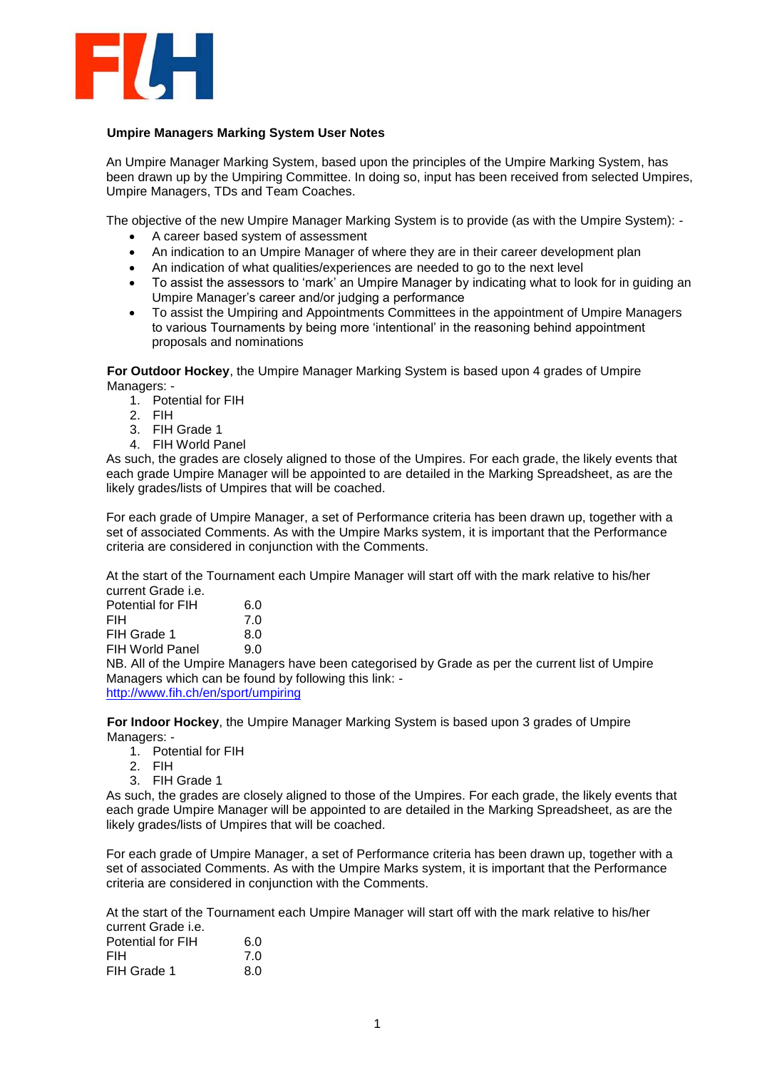

## **Umpire Managers Marking System User Notes**

An Umpire Manager Marking System, based upon the principles of the Umpire Marking System, has been drawn up by the Umpiring Committee. In doing so, input has been received from selected Umpires, Umpire Managers, TDs and Team Coaches.

The objective of the new Umpire Manager Marking System is to provide (as with the Umpire System): -

- A career based system of assessment
- An indication to an Umpire Manager of where they are in their career development plan
- An indication of what qualities/experiences are needed to go to the next level
- To assist the assessors to 'mark' an Umpire Manager by indicating what to look for in guiding an Umpire Manager's career and/or judging a performance
- To assist the Umpiring and Appointments Committees in the appointment of Umpire Managers to various Tournaments by being more 'intentional' in the reasoning behind appointment proposals and nominations

**For Outdoor Hockey**, the Umpire Manager Marking System is based upon 4 grades of Umpire Managers: -

- 1. Potential for FIH
- 2. FIH
- 3. FIH Grade 1
- 4. FIH World Panel

As such, the grades are closely aligned to those of the Umpires. For each grade, the likely events that each grade Umpire Manager will be appointed to are detailed in the Marking Spreadsheet, as are the likely grades/lists of Umpires that will be coached.

For each grade of Umpire Manager, a set of Performance criteria has been drawn up, together with a set of associated Comments. As with the Umpire Marks system, it is important that the Performance criteria are considered in conjunction with the Comments.

At the start of the Tournament each Umpire Manager will start off with the mark relative to his/her current Grade i.e.

| Potential for FIH                                                                               | 6.0 |  |  |
|-------------------------------------------------------------------------------------------------|-----|--|--|
| FIH                                                                                             | 7.0 |  |  |
| FIH Grade 1                                                                                     | 8.0 |  |  |
| FIH World Panel                                                                                 | 90. |  |  |
| NB. All of the Umpire Managers have been categorised by Grade as per the current list of Umpire |     |  |  |
| Managers which can be found by following this link: -                                           |     |  |  |
| http://www.fih.ch/en/sport/umpiring                                                             |     |  |  |
|                                                                                                 |     |  |  |

**For Indoor Hockey**, the Umpire Manager Marking System is based upon 3 grades of Umpire Managers: -

- 1. Potential for FIH
- 2. FIH
- 3. FIH Grade 1

As such, the grades are closely aligned to those of the Umpires. For each grade, the likely events that each grade Umpire Manager will be appointed to are detailed in the Marking Spreadsheet, as are the likely grades/lists of Umpires that will be coached.

For each grade of Umpire Manager, a set of Performance criteria has been drawn up, together with a set of associated Comments. As with the Umpire Marks system, it is important that the Performance criteria are considered in conjunction with the Comments.

At the start of the Tournament each Umpire Manager will start off with the mark relative to his/her current Grade i.e.

| Potential for FIH | 6.0 |
|-------------------|-----|
| <b>FIH</b>        | 7.0 |
| FIH Grade 1       | 8.0 |